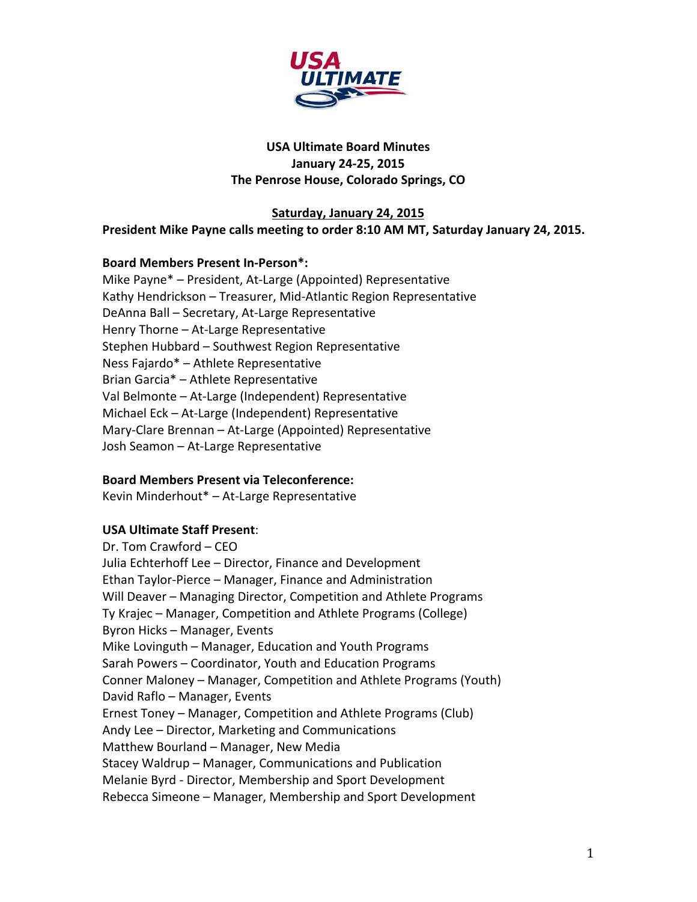

# **USA Ultimate Board Minutes January 24‐25, 2015 The Penrose House, Colorado Springs, CO**

## **Saturday, January 24, 2015 President Mike Payne calls meeting to order 8:10 AM MT, Saturday January 24, 2015.**

## **Board Members Present In‐Person\*:**

Mike Payne\* – President, At‐Large (Appointed) Representative Kathy Hendrickson – Treasurer, Mid‐Atlantic Region Representative DeAnna Ball – Secretary, At‐Large Representative Henry Thorne - At-Large Representative Stephen Hubbard – Southwest Region Representative Ness Fajardo\* – Athlete Representative Brian Garcia\* – Athlete Representative Val Belmonte – At‐Large (Independent) Representative Michael Eck – At‐Large (Independent) Representative Mary‐Clare Brennan – At‐Large (Appointed) Representative Josh Seamon – At‐Large Representative

## **Board Members Present via Teleconference:**

Kevin Minderhout\* – At‐Large Representative

# **USA Ultimate Staff Present**:

Dr. Tom Crawford – CEO Julia Echterhoff Lee – Director, Finance and Development Ethan Taylor‐Pierce – Manager, Finance and Administration Will Deaver – Managing Director, Competition and Athlete Programs Ty Krajec – Manager, Competition and Athlete Programs (College) Byron Hicks – Manager, Events Mike Lovinguth – Manager, Education and Youth Programs Sarah Powers – Coordinator, Youth and Education Programs Conner Maloney – Manager, Competition and Athlete Programs (Youth) David Raflo – Manager, Events Ernest Toney – Manager, Competition and Athlete Programs (Club) Andy Lee – Director, Marketing and Communications Matthew Bourland – Manager, New Media Stacey Waldrup – Manager, Communications and Publication Melanie Byrd ‐ Director, Membership and Sport Development Rebecca Simeone – Manager, Membership and Sport Development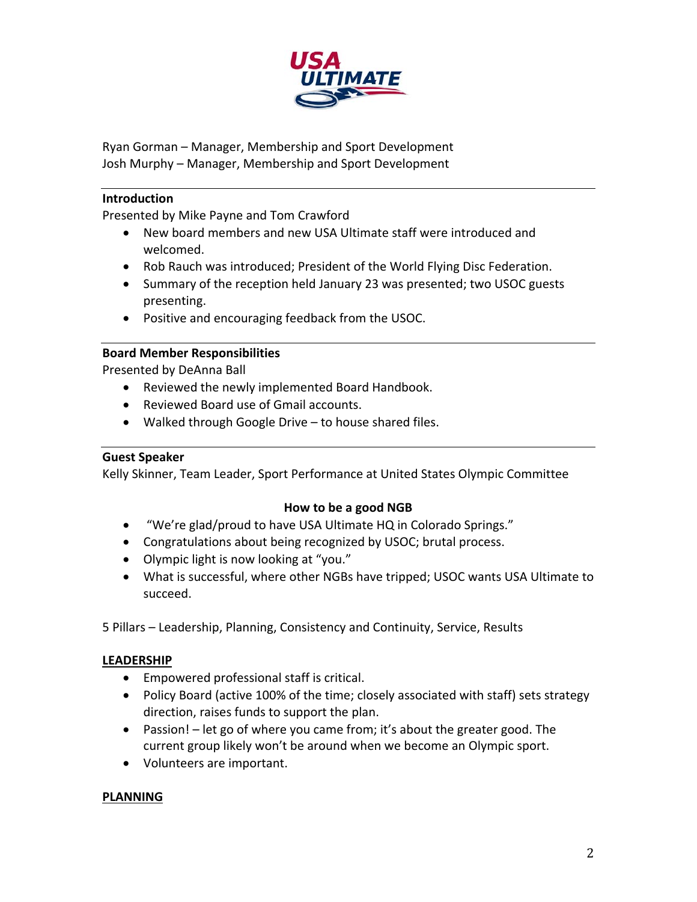

Ryan Gorman – Manager, Membership and Sport Development Josh Murphy – Manager, Membership and Sport Development

### **Introduction**

Presented by Mike Payne and Tom Crawford

- New board members and new USA Ultimate staff were introduced and welcomed.
- Rob Rauch was introduced; President of the World Flying Disc Federation.
- Summary of the reception held January 23 was presented; two USOC guests presenting.
- Positive and encouraging feedback from the USOC.

## **Board Member Responsibilities**

Presented by DeAnna Ball

- Reviewed the newly implemented Board Handbook.
- Reviewed Board use of Gmail accounts.
- Walked through Google Drive to house shared files.

## **Guest Speaker**

Kelly Skinner, Team Leader, Sport Performance at United States Olympic Committee

## **How to be a good NGB**

- "We're glad/proud to have USA Ultimate HQ in Colorado Springs."
- Congratulations about being recognized by USOC; brutal process.
- Olympic light is now looking at "you."
- What is successful, where other NGBs have tripped; USOC wants USA Ultimate to succeed.

5 Pillars – Leadership, Planning, Consistency and Continuity, Service, Results

## **LEADERSHIP**

- Empowered professional staff is critical.
- Policy Board (active 100% of the time; closely associated with staff) sets strategy direction, raises funds to support the plan.
- Passion!  $-$  let go of where you came from; it's about the greater good. The current group likely won't be around when we become an Olympic sport.
- Volunteers are important.

#### **PLANNING**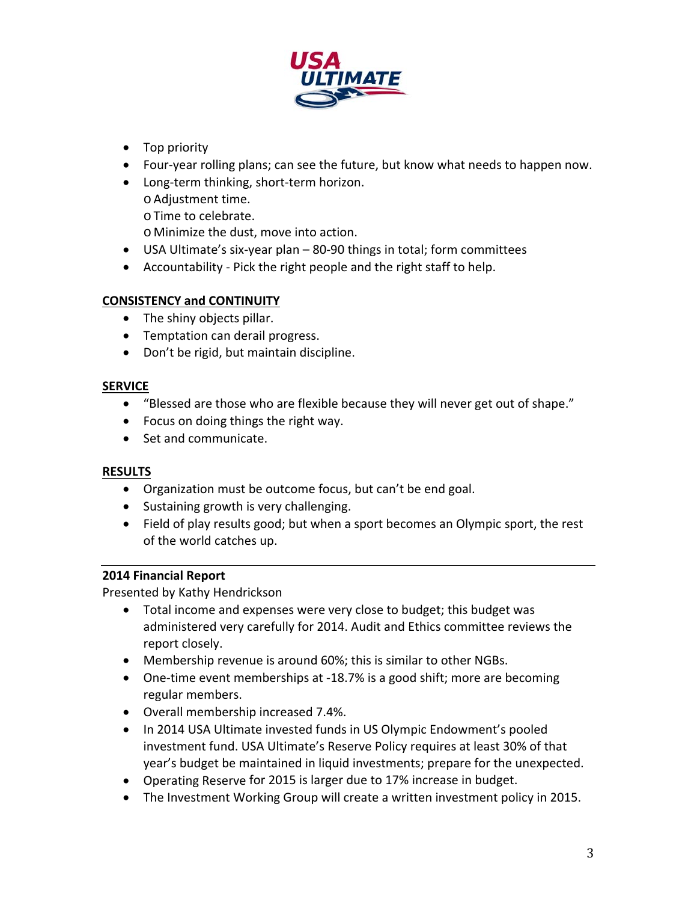

- Top priority
- Four-year rolling plans; can see the future, but know what needs to happen now.
- Long-term thinking, short-term horizon.
	- o Adjustment time.
		- o Time to celebrate.

o Minimize the dust, move into action.

- USA Ultimate's six‐year plan 80‐90 things in total; form committees
- Accountability Pick the right people and the right staff to help.

# **CONSISTENCY and CONTINUITY**

- The shiny objects pillar.
- Temptation can derail progress.
- Don't be rigid, but maintain discipline.

# **SERVICE**

- "Blessed are those who are flexible because they will never get out of shape."
- Focus on doing things the right way.
- Set and communicate.

# **RESULTS**

- Organization must be outcome focus, but can't be end goal.
- Sustaining growth is very challenging.
- Field of play results good; but when a sport becomes an Olympic sport, the rest of the world catches up.

# **2014 Financial Report**

Presented by Kathy Hendrickson

- Total income and expenses were very close to budget; this budget was administered very carefully for 2014. Audit and Ethics committee reviews the report closely.
- Membership revenue is around 60%; this is similar to other NGBs.
- One-time event memberships at -18.7% is a good shift; more are becoming regular members.
- Overall membership increased 7.4%.
- In 2014 USA Ultimate invested funds in US Olympic Endowment's pooled investment fund. USA Ultimate's Reserve Policy requires at least 30% of that year's budget be maintained in liquid investments; prepare for the unexpected.
- Operating Reserve for 2015 is larger due to 17% increase in budget.
- The Investment Working Group will create a written investment policy in 2015.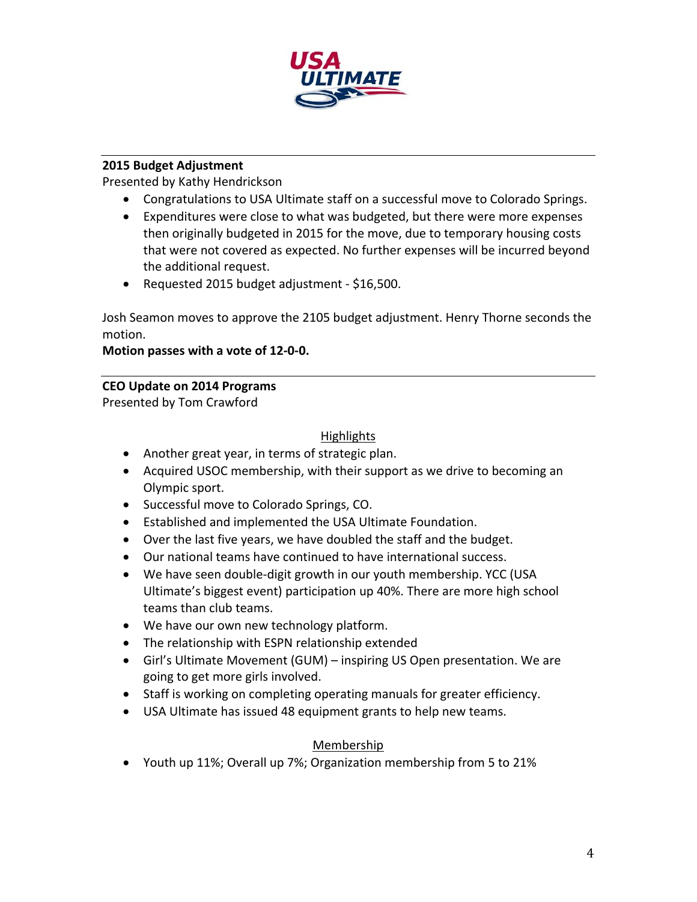

# **2015 Budget Adjustment**

Presented by Kathy Hendrickson

- Congratulations to USA Ultimate staff on a successful move to Colorado Springs.
- Expenditures were close to what was budgeted, but there were more expenses then originally budgeted in 2015 for the move, due to temporary housing costs that were not covered as expected. No further expenses will be incurred beyond the additional request.
- Requested 2015 budget adjustment \$16,500.

Josh Seamon moves to approve the 2105 budget adjustment. Henry Thorne seconds the motion.

## **Motion passes with a vote of 12‐0‐0.**

## **CEO Update on 2014 Programs**

Presented by Tom Crawford

## Highlights

- Another great year, in terms of strategic plan.
- Acquired USOC membership, with their support as we drive to becoming an Olympic sport.
- Successful move to Colorado Springs, CO.
- Established and implemented the USA Ultimate Foundation.
- Over the last five years, we have doubled the staff and the budget.
- Our national teams have continued to have international success.
- We have seen double-digit growth in our youth membership. YCC (USA Ultimate's biggest event) participation up 40%. There are more high school teams than club teams.
- We have our own new technology platform.
- The relationship with ESPN relationship extended
- Girl's Ultimate Movement (GUM) inspiring US Open presentation. We are going to get more girls involved.
- Staff is working on completing operating manuals for greater efficiency.
- USA Ultimate has issued 48 equipment grants to help new teams.

# Membership

Youth up 11%; Overall up 7%; Organization membership from 5 to 21%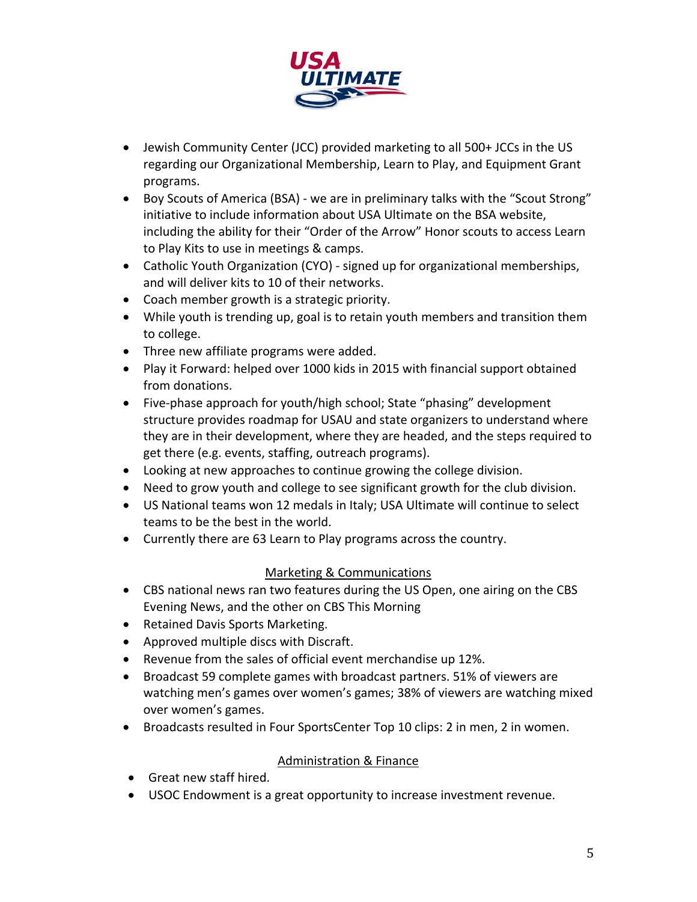

- Jewish Community Center (JCC) provided marketing to all 500+ JCCs in the US regarding our Organizational Membership, Learn to Play, and Equipment Grant programs.
- Boy Scouts of America (BSA) ‐ we are in preliminary talks with the "Scout Strong" initiative to include information about USA Ultimate on the BSA website, including the ability for their "Order of the Arrow" Honor scouts to access Learn to Play Kits to use in meetings & camps.
- Catholic Youth Organization (CYO) ‐ signed up for organizational memberships, and will deliver kits to 10 of their networks.
- Coach member growth is a strategic priority.
- While youth is trending up, goal is to retain youth members and transition them to college.
- Three new affiliate programs were added.
- Play it Forward: helped over 1000 kids in 2015 with financial support obtained from donations.
- Five-phase approach for youth/high school; State "phasing" development structure provides roadmap for USAU and state organizers to understand where they are in their development, where they are headed, and the steps required to get there (e.g. events, staffing, outreach programs).
- Looking at new approaches to continue growing the college division.
- Need to grow youth and college to see significant growth for the club division.
- US National teams won 12 medals in Italy; USA Ultimate will continue to select teams to be the best in the world.
- Currently there are 63 Learn to Play programs across the country.

# Marketing & Communications

- CBS national news ran two features during the US Open, one airing on the CBS Evening News, and the other on CBS This Morning
- Retained Davis Sports Marketing.
- Approved multiple discs with Discraft.
- Revenue from the sales of official event merchandise up 12%.
- Broadcast 59 complete games with broadcast partners. 51% of viewers are watching men's games over women's games; 38% of viewers are watching mixed over women's games.
- Broadcasts resulted in Four SportsCenter Top 10 clips: 2 in men, 2 in women.

# Administration & Finance

- Great new staff hired.
- USOC Endowment is a great opportunity to increase investment revenue.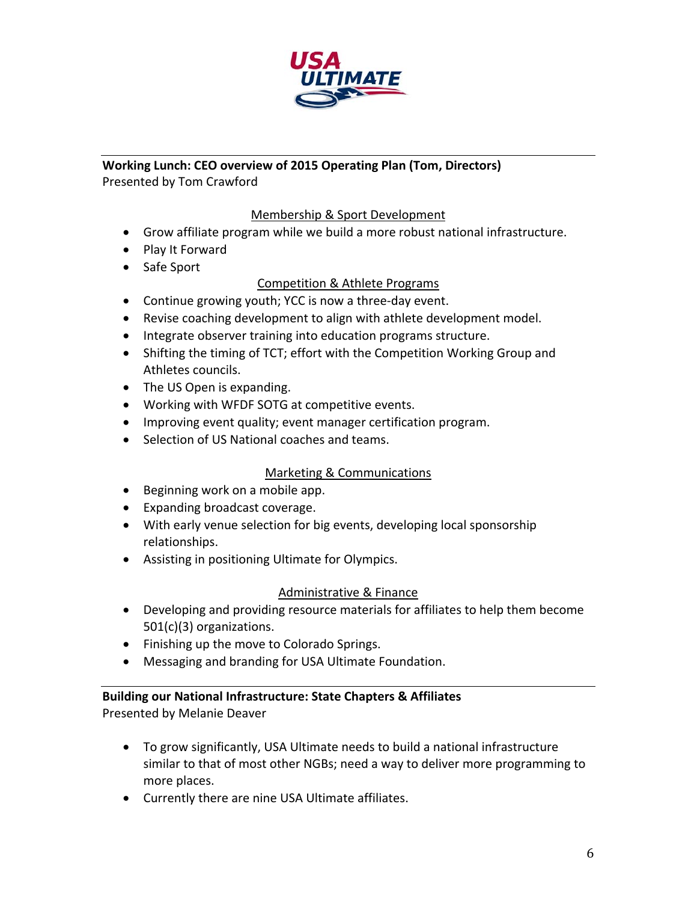

# **Working Lunch: CEO overview of 2015 Operating Plan (Tom, Directors)** Presented by Tom Crawford

## Membership & Sport Development

- Grow affiliate program while we build a more robust national infrastructure.
- Play It Forward
- Safe Sport

# Competition & Athlete Programs

- Continue growing youth; YCC is now a three-day event.
- Revise coaching development to align with athlete development model.
- Integrate observer training into education programs structure.
- Shifting the timing of TCT; effort with the Competition Working Group and Athletes councils.
- The US Open is expanding.
- Working with WFDF SOTG at competitive events.
- Improving event quality; event manager certification program.
- Selection of US National coaches and teams.

# Marketing & Communications

- Beginning work on a mobile app.
- Expanding broadcast coverage.
- With early venue selection for big events, developing local sponsorship relationships.
- Assisting in positioning Ultimate for Olympics.

# Administrative & Finance

- Developing and providing resource materials for affiliates to help them become 501(c)(3) organizations.
- Finishing up the move to Colorado Springs.
- Messaging and branding for USA Ultimate Foundation.

# **Building our National Infrastructure: State Chapters & Affiliates**

Presented by Melanie Deaver

- To grow significantly, USA Ultimate needs to build a national infrastructure similar to that of most other NGBs; need a way to deliver more programming to more places.
- Currently there are nine USA Ultimate affiliates.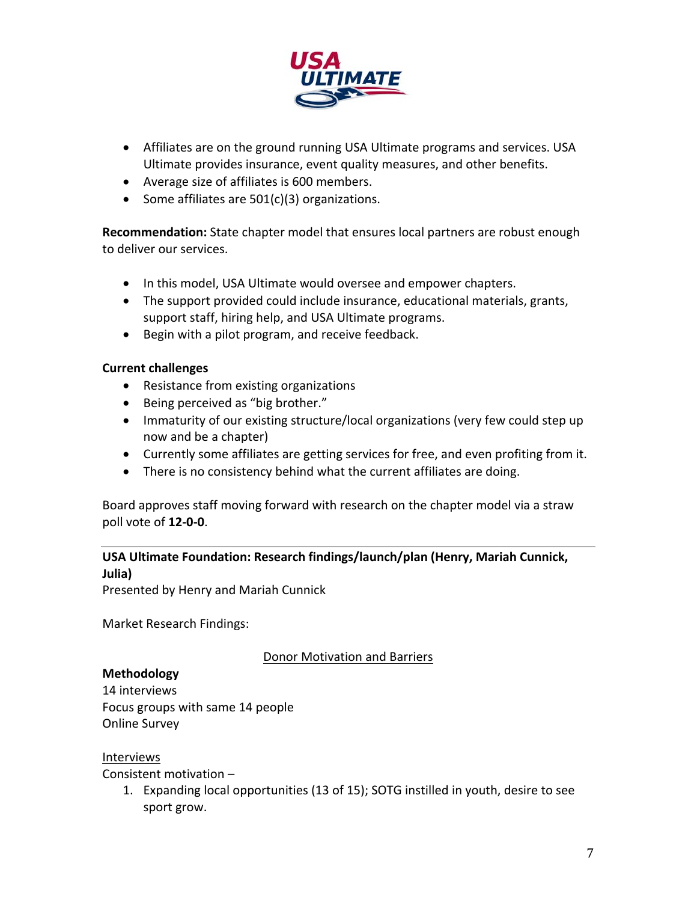

- Affiliates are on the ground running USA Ultimate programs and services. USA Ultimate provides insurance, event quality measures, and other benefits.
- Average size of affiliates is 600 members.
- Some affiliates are  $501(c)(3)$  organizations.

**Recommendation:** State chapter model that ensures local partners are robust enough to deliver our services.

- In this model, USA Ultimate would oversee and empower chapters.
- The support provided could include insurance, educational materials, grants, support staff, hiring help, and USA Ultimate programs.
- Begin with a pilot program, and receive feedback.

## **Current challenges**

- Resistance from existing organizations
- Being perceived as "big brother."
- Immaturity of our existing structure/local organizations (very few could step up now and be a chapter)
- Currently some affiliates are getting services for free, and even profiting from it.
- There is no consistency behind what the current affiliates are doing.

Board approves staff moving forward with research on the chapter model via a straw poll vote of **12‐0‐0**.

# **USA Ultimate Foundation: Research findings/launch/plan (Henry, Mariah Cunnick,**

#### **Julia)**

Presented by Henry and Mariah Cunnick

Market Research Findings:

Donor Motivation and Barriers

## **Methodology**

14 interviews Focus groups with same 14 people Online Survey

## Interviews

Consistent motivation –

1. Expanding local opportunities (13 of 15); SOTG instilled in youth, desire to see sport grow.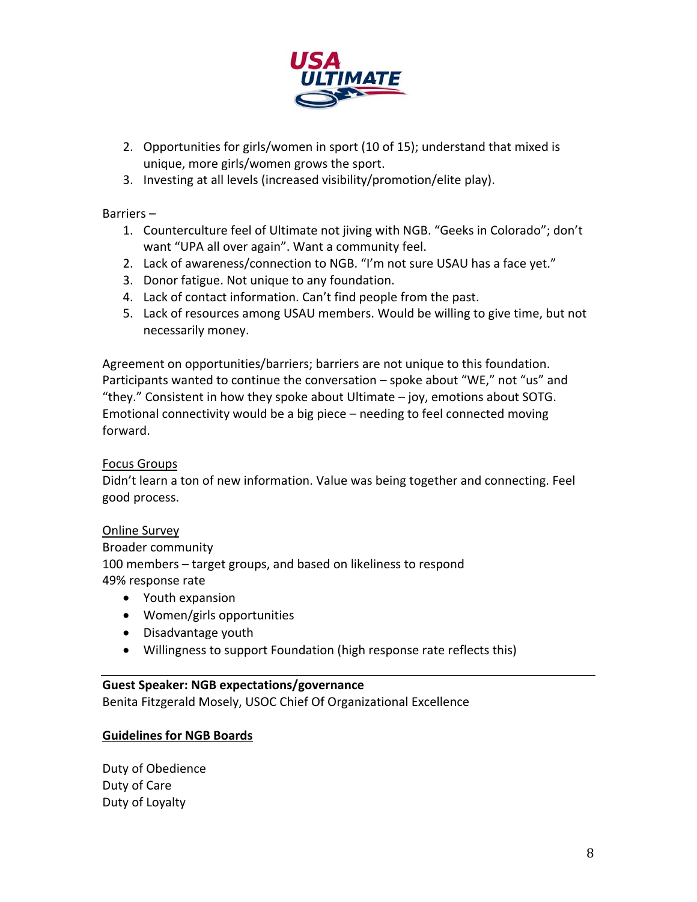

- 2. Opportunities for girls/women in sport (10 of 15); understand that mixed is unique, more girls/women grows the sport.
- 3. Investing at all levels (increased visibility/promotion/elite play).

Barriers –

- 1. Counterculture feel of Ultimate not jiving with NGB. "Geeks in Colorado"; don't want "UPA all over again". Want a community feel.
- 2. Lack of awareness/connection to NGB. "I'm not sure USAU has a face yet."
- 3. Donor fatigue. Not unique to any foundation.
- 4. Lack of contact information. Can't find people from the past.
- 5. Lack of resources among USAU members. Would be willing to give time, but not necessarily money.

Agreement on opportunities/barriers; barriers are not unique to this foundation. Participants wanted to continue the conversation – spoke about "WE," not "us" and "they." Consistent in how they spoke about Ultimate – joy, emotions about SOTG. Emotional connectivity would be a big piece – needing to feel connected moving forward.

# Focus Groups

Didn't learn a ton of new information. Value was being together and connecting. Feel good process.

Online Survey

Broader community 100 members – target groups, and based on likeliness to respond 49% response rate

- Youth expansion
- Women/girls opportunities
- Disadvantage youth
- Willingness to support Foundation (high response rate reflects this)

# **Guest Speaker: NGB expectations/governance**

Benita Fitzgerald Mosely, USOC Chief Of Organizational Excellence

# **Guidelines for NGB Boards**

Duty of Obedience Duty of Care Duty of Loyalty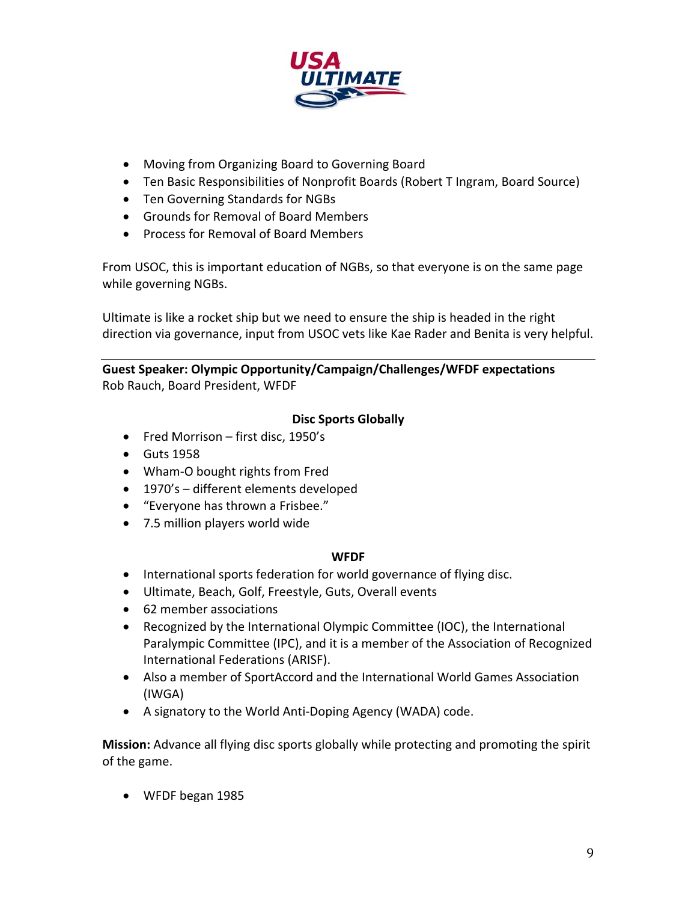

- Moving from Organizing Board to Governing Board
- Ten Basic Responsibilities of Nonprofit Boards (Robert T Ingram, Board Source)
- Ten Governing Standards for NGBs
- Grounds for Removal of Board Members
- Process for Removal of Board Members

From USOC, this is important education of NGBs, so that everyone is on the same page while governing NGBs.

Ultimate is like a rocket ship but we need to ensure the ship is headed in the right direction via governance, input from USOC vets like Kae Rader and Benita is very helpful.

## **Guest Speaker: Olympic Opportunity/Campaign/Challenges/WFDF expectations** Rob Rauch, Board President, WFDF

# **Disc Sports Globally**

- Fred Morrison first disc, 1950's
- **•** Guts 1958
- Wham-O bought rights from Fred
- 1970's different elements developed
- "Everyone has thrown a Frisbee."
- 7.5 million players world wide

## **WFDF**

- International sports federation for world governance of flying disc.
- Ultimate, Beach, Golf, Freestyle, Guts, Overall events
- 62 member associations
- Recognized by the International Olympic Committee (IOC), the International Paralympic Committee (IPC), and it is a member of the Association of Recognized International Federations (ARISF).
- Also a member of SportAccord and the International World Games Association (IWGA)
- A signatory to the World Anti-Doping Agency (WADA) code.

**Mission:** Advance all flying disc sports globally while protecting and promoting the spirit of the game.

WFDF began 1985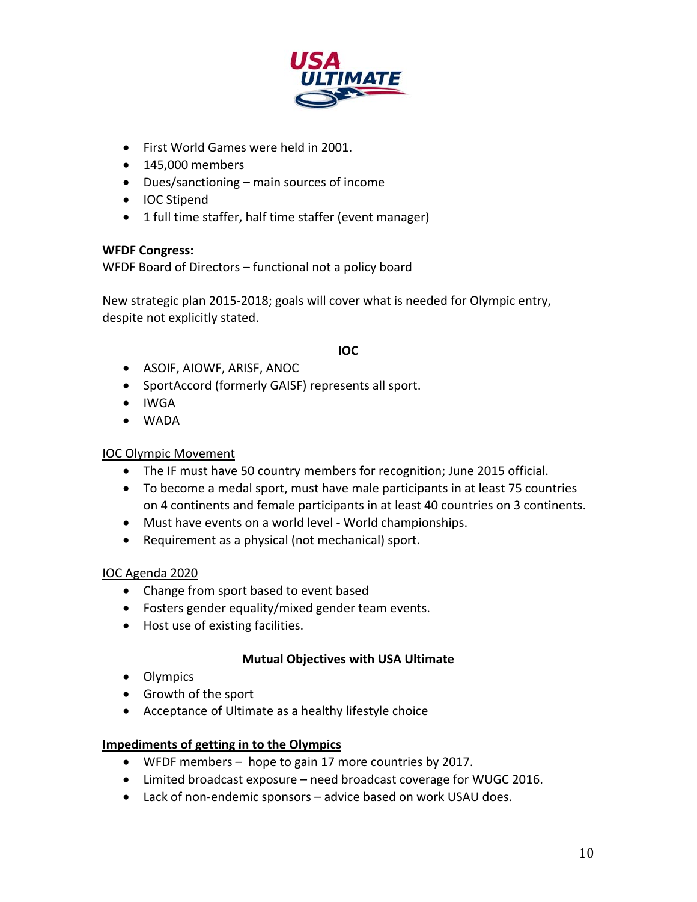

- First World Games were held in 2001.
- 145,000 members
- Dues/sanctioning main sources of income
- IOC Stipend
- 1 full time staffer, half time staffer (event manager)

## **WFDF Congress:**

WFDF Board of Directors – functional not a policy board

New strategic plan 2015‐2018; goals will cover what is needed for Olympic entry, despite not explicitly stated.

## **IOC**

- ASOIF, AIOWF, ARISF, ANOC
- SportAccord (formerly GAISF) represents all sport.
- IWGA
- WADA

# IOC Olympic Movement

- The IF must have 50 country members for recognition; June 2015 official.
- To become a medal sport, must have male participants in at least 75 countries on 4 continents and female participants in at least 40 countries on 3 continents.
- Must have events on a world level World championships.
- Requirement as a physical (not mechanical) sport.

# IOC Agenda 2020

- Change from sport based to event based
- Fosters gender equality/mixed gender team events.
- Host use of existing facilities.

# **Mutual Objectives with USA Ultimate**

- Olympics
- Growth of the sport
- Acceptance of Ultimate as a healthy lifestyle choice

# **Impediments of getting in to the Olympics**

- WFDF members hope to gain 17 more countries by 2017.
- Limited broadcast exposure need broadcast coverage for WUGC 2016.
- Lack of non-endemic sponsors advice based on work USAU does.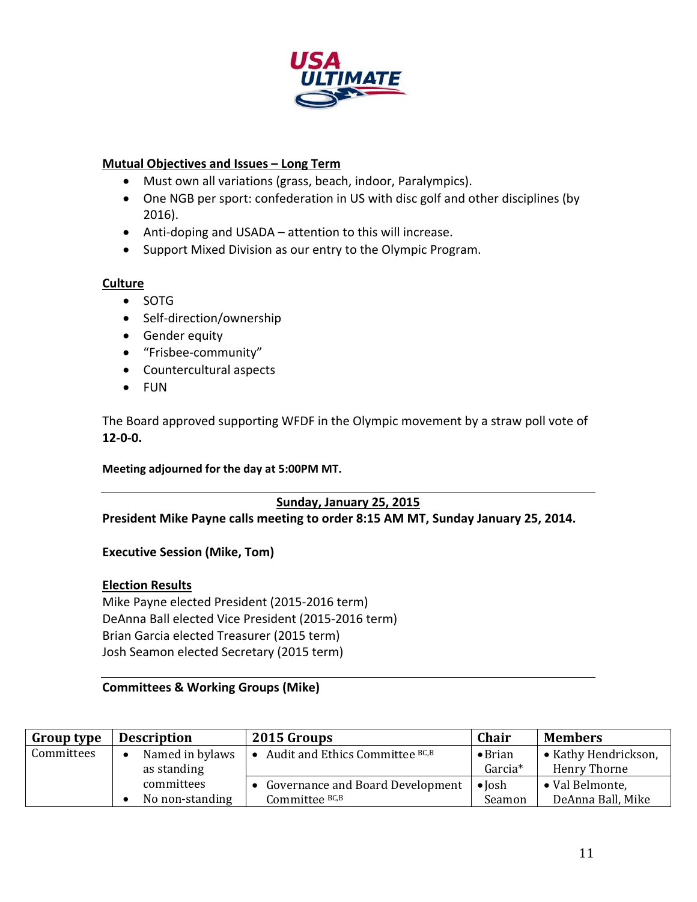

## **Mutual Objectives and Issues – Long Term**

- Must own all variations (grass, beach, indoor, Paralympics).
- One NGB per sport: confederation in US with disc golf and other disciplines (by 2016).
- Anti-doping and USADA attention to this will increase.
- Support Mixed Division as our entry to the Olympic Program.

## **Culture**

- SOTG
- Self-direction/ownership
- **•** Gender equity
- "Frisbee‐community"
- Countercultural aspects
- FUN

The Board approved supporting WFDF in the Olympic movement by a straw poll vote of **12‐0‐0.**

#### **Meeting adjourned for the day at 5:00PM MT.**

# **Sunday, January 25, 2015**

**President Mike Payne calls meeting to order 8:15 AM MT, Sunday January 25, 2014.** 

**Executive Session (Mike, Tom)**

## **Election Results**

Mike Payne elected President (2015‐2016 term) DeAnna Ball elected Vice President (2015‐2016 term) Brian Garcia elected Treasurer (2015 term) Josh Seamon elected Secretary (2015 term)

#### **Committees & Working Groups (Mike)**

| <b>Group type</b> | <b>Description</b> | 2015 Groups                                  | <b>Chair</b>        | <b>Members</b>       |
|-------------------|--------------------|----------------------------------------------|---------------------|----------------------|
| Committees        | Named in bylaws    | Audit and Ethics Committee BC,B<br>$\bullet$ | $\bullet$ Brian     | • Kathy Hendrickson, |
|                   | as standing        |                                              | Garcia <sup>*</sup> | Henry Thorne         |
|                   | committees         | Governance and Board Development             | $\bullet$ Josh      | • Val Belmonte,      |
|                   | No non-standing    | Committee BC,B                               | Seamon              | DeAnna Ball, Mike    |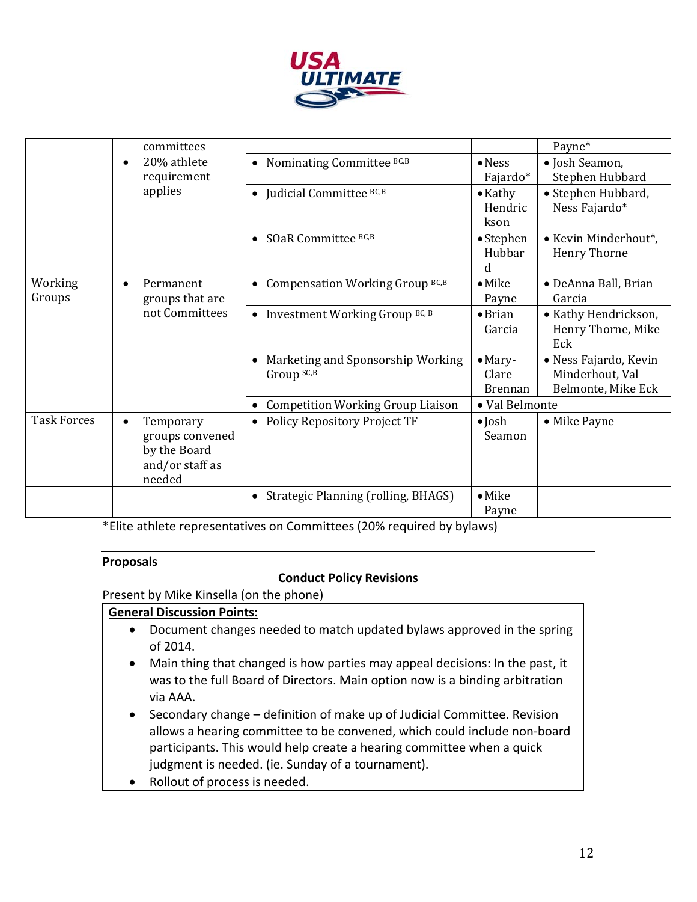

|                    | committees                |                                                       |                     | Payne*                |
|--------------------|---------------------------|-------------------------------------------------------|---------------------|-----------------------|
|                    | 20% athlete<br>$\epsilon$ | • Nominating Committee BC,B                           | $\bullet$ Ness      | • Josh Seamon,        |
|                    | requirement               |                                                       | Fajardo*            | Stephen Hubbard       |
|                    | applies                   | • Judicial Committee $BC, B$                          | $\bullet$ Kathy     | • Stephen Hubbard,    |
|                    |                           |                                                       | Hendric             | Ness Fajardo*         |
|                    |                           |                                                       | kson                |                       |
|                    |                           | SOaR Committee BC,B<br>$\bullet$                      | • Stephen<br>Hubbar | • Kevin Minderhout*,  |
|                    |                           |                                                       | d                   | <b>Henry Thorne</b>   |
| Working            | Permanent<br>$\bullet$    | Compensation Working Group BC,B<br>$\bullet$          | $\bullet$ Mike      | • DeAnna Ball, Brian  |
| Groups             | groups that are           |                                                       | Payne               | Garcia                |
|                    | not Committees            | • Investment Working Group BC, B                      | $\bullet$ Brian     | • Kathy Hendrickson,  |
|                    |                           |                                                       | Garcia              | Henry Thorne, Mike    |
|                    |                           |                                                       |                     | Eck                   |
|                    |                           | Marketing and Sponsorship Working                     | $•$ Mary-           | • Ness Fajardo, Kevin |
|                    |                           | Group SC,B                                            | Clare               | Minderhout, Val       |
|                    |                           |                                                       | <b>Brennan</b>      | Belmonte, Mike Eck    |
|                    |                           | <b>Competition Working Group Liaison</b><br>$\bullet$ | • Val Belmonte      |                       |
| <b>Task Forces</b> | Temporary                 | <b>Policy Repository Project TF</b><br>$\bullet$      | $\bullet$ Josh      | • Mike Payne          |
|                    | groups convened           |                                                       | Seamon              |                       |
|                    | by the Board              |                                                       |                     |                       |
|                    | and/or staff as           |                                                       |                     |                       |
|                    | needed                    |                                                       |                     |                       |
|                    |                           | Strategic Planning (rolling, BHAGS)<br>$\bullet$      | $\bullet$ Mike      |                       |
|                    |                           |                                                       | Payne               |                       |

\*Elite athlete representatives on Committees (20% required by bylaws)

#### **Proposals**

## **Conduct Policy Revisions**

Present by Mike Kinsella (on the phone)

## **General Discussion Points:**

- Document changes needed to match updated bylaws approved in the spring of 2014.
- Main thing that changed is how parties may appeal decisions: In the past, it was to the full Board of Directors. Main option now is a binding arbitration via AAA.
- Secondary change definition of make up of Judicial Committee. Revision allows a hearing committee to be convened, which could include non‐board participants. This would help create a hearing committee when a quick judgment is needed. (ie. Sunday of a tournament).
- Rollout of process is needed.